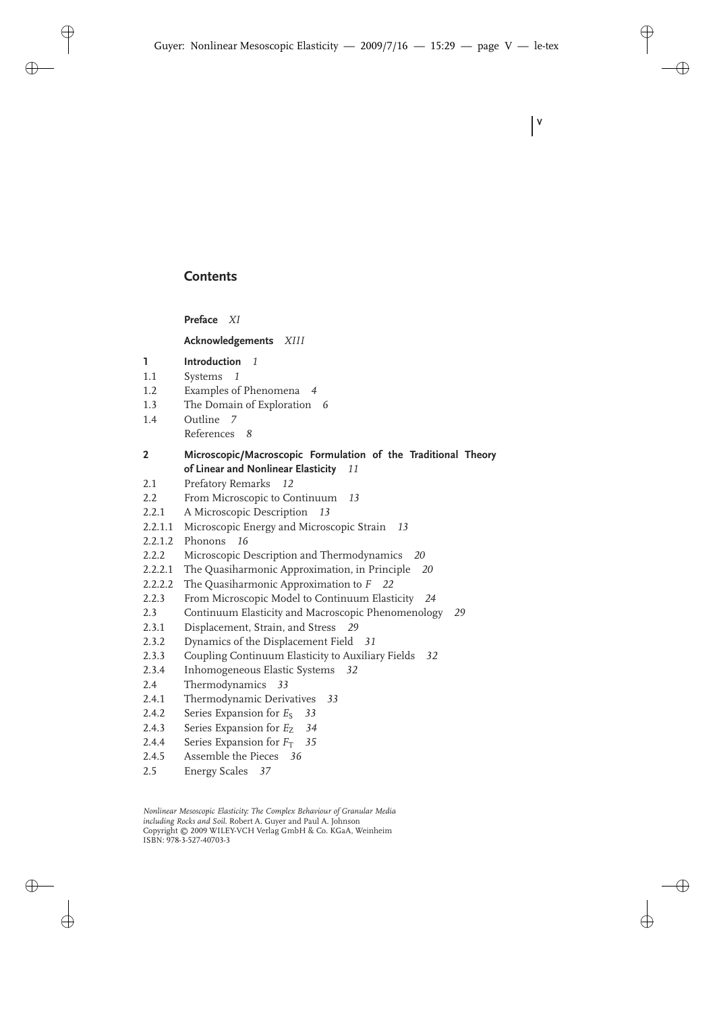# **Contents**

**Preface** *XI*

**Acknowledgements** *XIII*

- **1 Introduction** *1*
- 1.1 Systems *1*
- 1.2 Examples of Phenomena *4*
- 1.3 The Domain of Exploration *6*
- 1.4 Outline *7* References *8*

## **2 Microscopic/Macroscopic Formulation of the Traditional Theory of Linear and Nonlinear Elasticity** *11*

**V**

- 2.1 Prefatory Remarks *12*
- 2.2 From Microscopic to Continuum *13*
- 2.2.1 A Microscopic Description *13*
- 2.2.1.1 Microscopic Energy and Microscopic Strain *13*
- 2.2.1.2 Phonons *16*
- 2.2.2 Microscopic Description and Thermodynamics *20*
- 2.2.2.1 The Quasiharmonic Approximation, in Principle *20*
- 2.2.2.2 The Quasiharmonic Approximation to *F 22*
- 2.2.3 From Microscopic Model to Continuum Elasticity *24*
- 2.3 Continuum Elasticity and Macroscopic Phenomenology *29*
- 2.3.1 Displacement, Strain, and Stress *29*
- 2.3.2 Dynamics of the Displacement Field *31*
- 2.3.3 Coupling Continuum Elasticity to Auxiliary Fields *32*
- 2.3.4 Inhomogeneous Elastic Systems *32*
- 2.4 Thermodynamics *33*
- 2.4.1 Thermodynamic Derivatives *33*
- 2.4.2 Series Expansion for *E<sub>S</sub>* 33
- 2.4.3 Series Expansion for *E*<sub>Z</sub> 34
- 2.4.4 Series Expansion for  $F_T$  35
- 2.4.5 Assemble the Pieces *36*
- 2.5 Energy Scales *37*

*Nonlinear Mesoscopic Elasticity: The Complex Behaviour of Granular Media including Rocks and Soil.* Robert A. Guyer and Paul A. Johnson Copyright © 2009 WILEY-VCH Verlag GmbH & Co. KGaA, Weinheim ISBN: 978-3-527-40703-3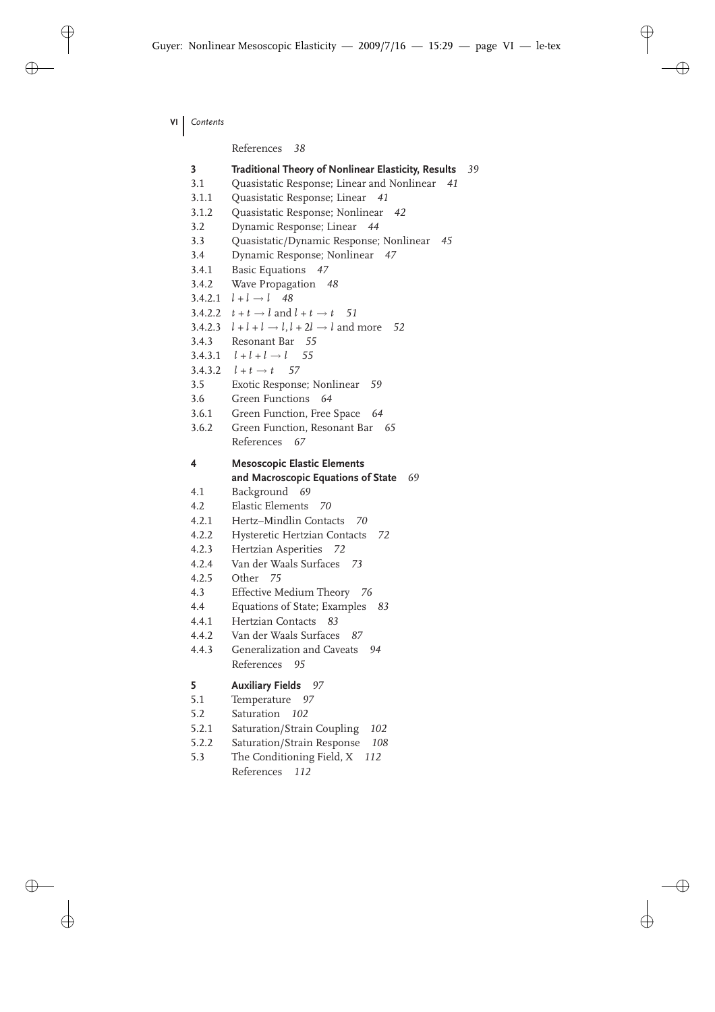**VI** *Contents*

References *38*

| 3            | Traditional Theory of Nonlinear Elasticity, Results<br>39      |
|--------------|----------------------------------------------------------------|
| 3.1          | Quasistatic Response; Linear and Nonlinear<br>41               |
| 3.1.1        | Quasistatic Response; Linear<br>41                             |
| 3.1.2        | Quasistatic Response; Nonlinear<br>42                          |
| 3.2          | Dynamic Response; Linear 44                                    |
| 3.3          | Quasistatic/Dynamic Response; Nonlinear<br>45                  |
| 3.4          | Dynamic Response; Nonlinear 47                                 |
| 3.4.1        | <b>Basic Equations</b><br>47                                   |
| 3.4.2        | Wave Propagation<br>48                                         |
| 3.4.2.1      | $l+l \rightarrow l$ 48                                         |
|              | 3.4.2.2 $t + t \rightarrow l$ and $l + t \rightarrow t$ 51     |
| 3.4.2.3      | $l + l + l \rightarrow l, l + 2l \rightarrow l$ and more<br>52 |
| 3.4.3        | Resonant Bar 55                                                |
|              | 3.4.3.1 $l + l + l \rightarrow l$<br>55                        |
|              | 3.4.3.2 $l + t \rightarrow t$ 57                               |
| 3.5          | Exotic Response; Nonlinear<br>59                               |
| 3.6          | Green Functions<br>- 64                                        |
| 3.6.1        | Green Function, Free Space 64                                  |
| 3.6.2        | Green Function, Resonant Bar 65                                |
|              | References 67                                                  |
| 4            | <b>Mesoscopic Elastic Elements</b>                             |
|              | and Macroscopic Equations of State<br>69                       |
| 4.1          | Background<br>69                                               |
| 4.2          | <b>Elastic Elements</b><br>70                                  |
| 4.2.1        | Hertz-Mindlin Contacts<br>70                                   |
| 4.2.2        | Hysteretic Hertzian Contacts<br>72                             |
| 4.2.3        | Hertzian Asperities<br>72                                      |
| 4.2.4        | Van der Waals Surfaces<br>73                                   |
| 4.2.5        | 75<br>Other                                                    |
| 4.3          | Effective Medium Theory 76                                     |
| 4.4          | Equations of State; Examples<br>83                             |
| 4.4.1        | Hertzian Contacts<br>83                                        |
| 4.4.2        | Van der Waals Surfaces<br>87                                   |
| 4.4.3        | Generalization and Caveats<br>94                               |
|              | References<br>95                                               |
| 5            | <b>Auxiliary Fields</b><br>- 97                                |
| 5.1          | Temperature<br>97                                              |
| 5.2          | Saturation 102                                                 |
| 5.2.1        |                                                                |
|              | 102                                                            |
|              | Saturation/Strain Coupling<br>108                              |
| 5.2.2<br>5.3 | Saturation/Strain Response<br>112                              |
|              | The Conditioning Field, X<br>References<br>112                 |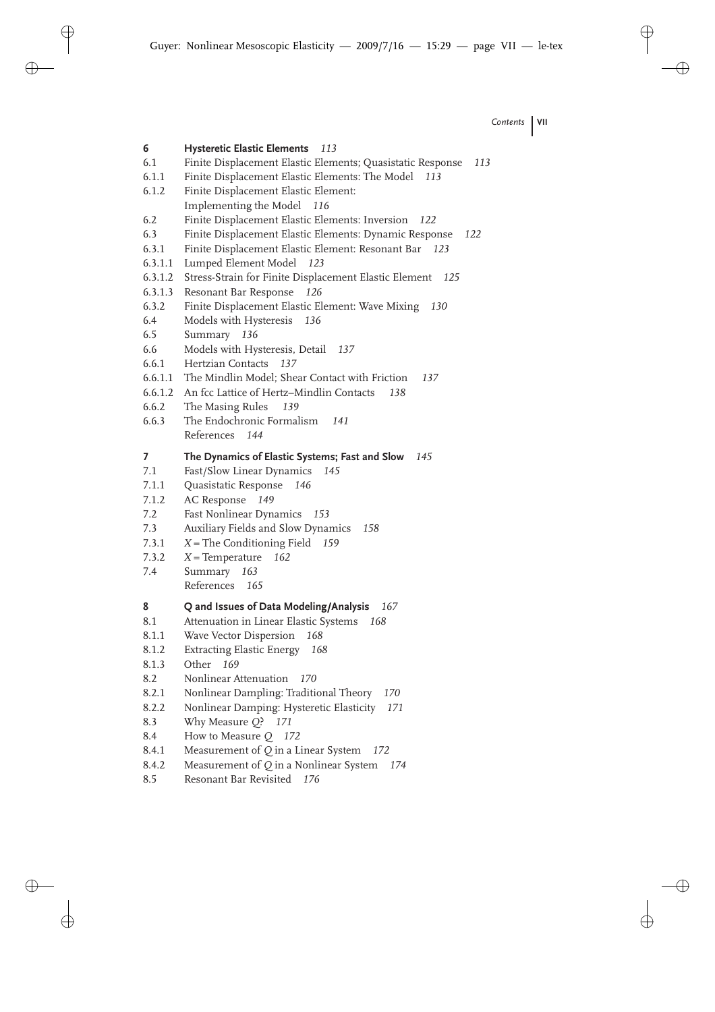- **6 Hysteretic Elastic Elements** *113* 6.1 Finite Displacement Elastic Elements; Quasistatic Response *113* 6.1.1 Finite Displacement Elastic Elements: The Model *113* 6.1.2 Finite Displacement Elastic Element: Implementing the Model *116* 6.2 Finite Displacement Elastic Elements: Inversion *122* 6.3 Finite Displacement Elastic Elements: Dynamic Response *122* 6.3.1 Finite Displacement Elastic Element: Resonant Bar *123* 6.3.1.1 Lumped Element Model *123* 6.3.1.2 Stress-Strain for Finite Displacement Elastic Element *125* 6.3.1.3 Resonant Bar Response *126* 6.3.2 Finite Displacement Elastic Element: Wave Mixing *130* 6.4 Models with Hysteresis *136* 6.5 Summary *136* 6.6 Models with Hysteresis, Detail *137* 6.6.1 Hertzian Contacts *137* 6.6.1.1 The Mindlin Model; Shear Contact with Friction *137* 6.6.1.2 An fcc Lattice of Hertz–Mindlin Contacts *138* 6.6.2 The Masing Rules *139* 6.6.3 The Endochronic Formalism *141* References *144* **7 The Dynamics of Elastic Systems; Fast and Slow** *145* 7.1 Fast/Slow Linear Dynamics *145* 7.1.1 Quasistatic Response *146* 7.1.2 AC Response *149* 7.2 Fast Nonlinear Dynamics *153* 7.3 Auxiliary Fields and Slow Dynamics *158* 7.3.1 *X* = The Conditioning Field *159* 7.3.2 *X* = Temperature *162* 7.4 Summary *163* References *165* **8 Q and Issues of Data Modeling/Analysis** *167* 8.1 Attenuation in Linear Elastic Systems *168* 8.1.1 Wave Vector Dispersion *168* 8.1.2 Extracting Elastic Energy *168* 8.1.3 Other *169* 8.2 Nonlinear Attenuation *170* 8.2.1 Nonlinear Dampling: Traditional Theory *170* 8.2.2 Nonlinear Damping: Hysteretic Elasticity *171* 8.3 Why Measure *Q*? *171* 8.4 How to Measure *Q 172* 8.4.1 Measurement of *Q* in a Linear System *172* 8.4.2 Measurement of *Q* in a Nonlinear System *174*
- 8.5 Resonant Bar Revisited *176*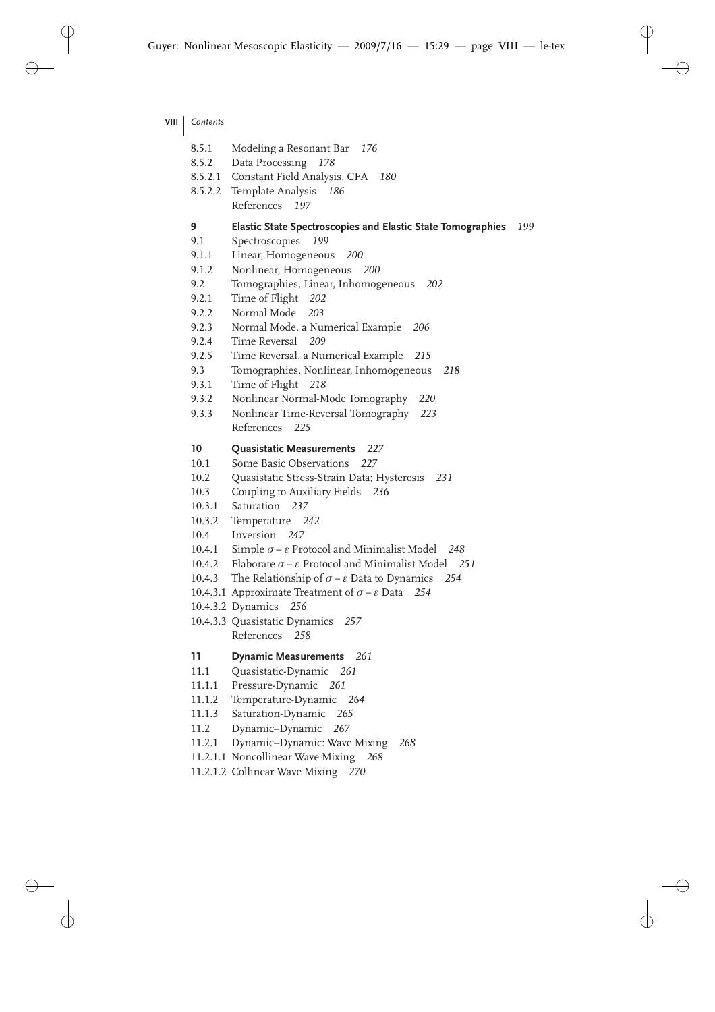- **VIII** *Contents*
	- 8.5.1 Modeling a Resonant Bar *176*
	- 8.5.2 Data Processing *178*
	- 8.5.2.1 Constant Field Analysis, CFA *180*
	- 8.5.2.2 Template Analysis *186* References *197*

#### **9 Elastic State Spectroscopies and Elastic State Tomographies** *199*

- 9.1 Spectroscopies *199*
- 9.1.1 Linear, Homogeneous *200*
- 9.1.2 Nonlinear, Homogeneous *200*
- 9.2 Tomographies, Linear, Inhomogeneous *202*
- 9.2.1 Time of Flight *202*
- 9.2.2 Normal Mode *203*
- 9.2.3 Normal Mode, a Numerical Example *206*
- 9.2.4 Time Reversal *209*
- 9.2.5 Time Reversal, a Numerical Example *215*
- 9.3 Tomographies, Nonlinear, Inhomogeneous *218*
- 9.3.1 Time of Flight *218*
- 9.3.2 Nonlinear Normal-Mode Tomography *220*
- 9.3.3 Nonlinear Time-Reversal Tomography *223* References *225*

### **10 Quasistatic Measurements** *227*

- 10.1 Some Basic Observations *227*
- 10.2 Quasistatic Stress-Strain Data; Hysteresis *231*
- 10.3 Coupling to Auxiliary Fields *236*
- 10.3.1 Saturation *237*
- 10.3.2 Temperature *242*
- 10.4 Inversion *247*
- 10.4.1 Simple σ ε Protocol and Minimalist Model *248*
- 10.4.2 Elaborate σ ε Protocol and Minimalist Model *251*
- 10.4.3 The Relationship of  $\sigma \varepsilon$  Data to Dynamics 254
- 10.4.3.1 Approximate Treatment of σ ε Data *254*
- 10.4.3.2 Dynamics *256*
- 10.4.3.3 Quasistatic Dynamics *257* References *258*

### **11 Dynamic Measurements** *261*

- 11.1 Quasistatic-Dynamic *261*
- 11.1.1 Pressure-Dynamic *261*
- 11.1.2 Temperature-Dynamic *264*
- 11.1.3 Saturation-Dynamic *265*
- 11.2 Dynamic–Dynamic *267*
- 11.2.1 Dynamic–Dynamic: Wave Mixing *268*
- 11.2.1.1 Noncollinear Wave Mixing *268*
- 11.2.1.2 Collinear Wave Mixing *270*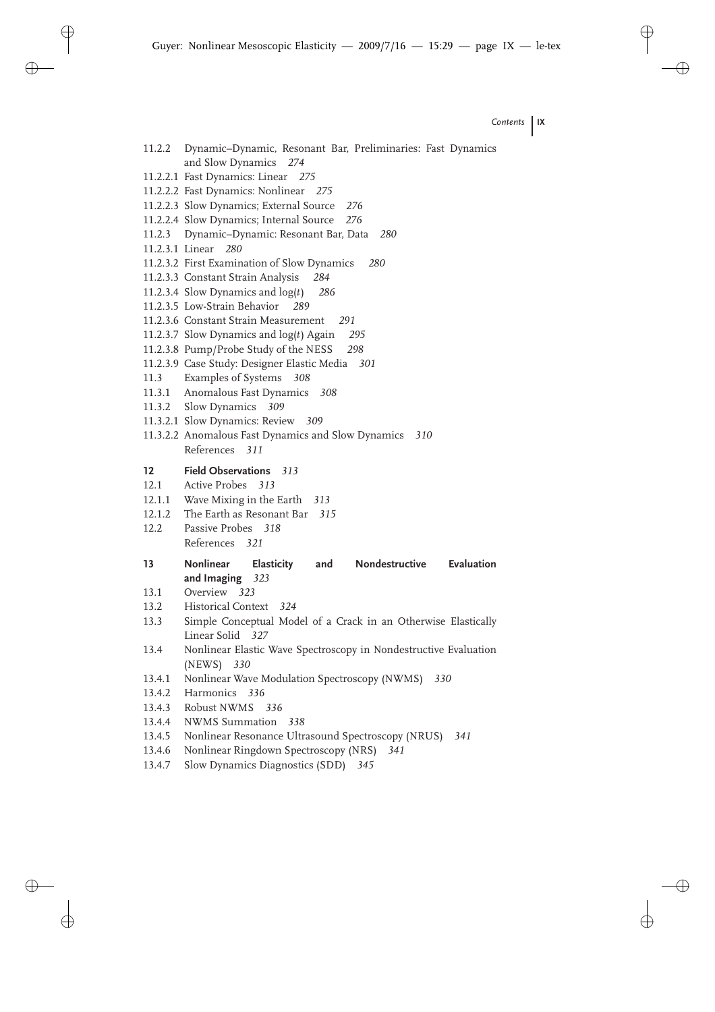- 11.2.2 Dynamic–Dynamic, Resonant Bar, Preliminaries: Fast Dynamics and Slow Dynamics *274*
- 11.2.2.1 Fast Dynamics: Linear *275*
- 11.2.2.2 Fast Dynamics: Nonlinear *275*
- 11.2.2.3 Slow Dynamics; External Source *276*
- 11.2.2.4 Slow Dynamics; Internal Source *276*
- 11.2.3 Dynamic–Dynamic: Resonant Bar, Data *280*
- 11.2.3.1 Linear *280*
- 11.2.3.2 First Examination of Slow Dynamics *280*
- 11.2.3.3 Constant Strain Analysis *284*
- 11.2.3.4 Slow Dynamics and log(*t*) *286*
- 11.2.3.5 Low-Strain Behavior *289*
- 11.2.3.6 Constant Strain Measurement *291*
- 11.2.3.7 Slow Dynamics and log(*t*) Again *295*
- 11.2.3.8 Pump/Probe Study of the NESS *298*
- 11.2.3.9 Case Study: Designer Elastic Media *301*
- 11.3 Examples of Systems *308*
- 11.3.1 Anomalous Fast Dynamics *308*
- 11.3.2 Slow Dynamics *309*
- 11.3.2.1 Slow Dynamics: Review *309*
- 11.3.2.2 Anomalous Fast Dynamics and Slow Dynamics *310* References *311*
- **12 Field Observations** *313*
- 12.1 Active Probes *313*
- 12.1.1 Wave Mixing in the Earth *313*
- 12.1.2 The Earth as Resonant Bar *315*
- 12.2 Passive Probes *318* References *321*
- **13 Nonlinear Elasticity and Nondestructive Evaluation and Imaging** *323*
- 13.1 Overview *323*
- 13.2 Historical Context *324*
- 13.3 Simple Conceptual Model of a Crack in an Otherwise Elastically Linear Solid *327*
- 13.4 Nonlinear Elastic Wave Spectroscopy in Nondestructive Evaluation (NEWS) *330*
- 13.4.1 Nonlinear Wave Modulation Spectroscopy (NWMS) *330*
- 13.4.2 Harmonics *336*
- 13.4.3 Robust NWMS *336*
- 13.4.4 NWMS Summation *338*
- 13.4.5 Nonlinear Resonance Ultrasound Spectroscopy (NRUS) *341*
- 13.4.6 Nonlinear Ringdown Spectroscopy (NRS) *341*
- 13.4.7 Slow Dynamics Diagnostics (SDD) *345*